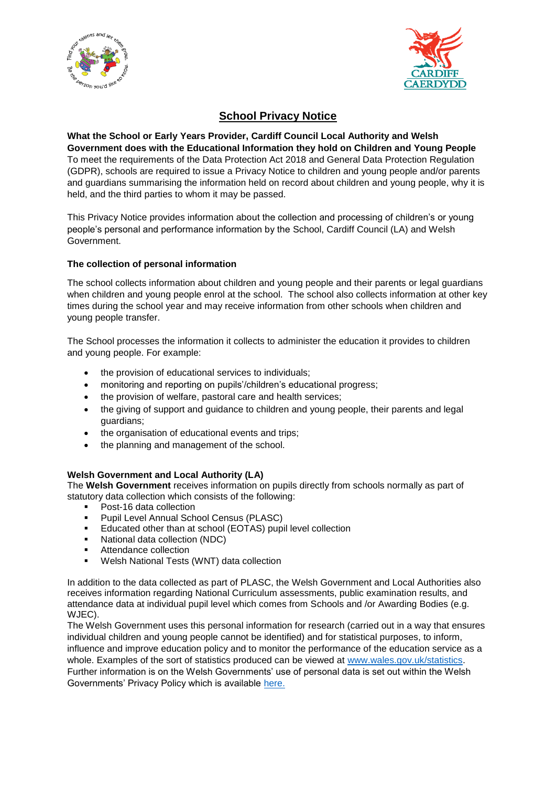



# **School Privacy Notice**

**What the School or Early Years Provider, Cardiff Council Local Authority and Welsh Government does with the Educational Information they hold on Children and Young People**  To meet the requirements of the Data Protection Act 2018 and General Data Protection Regulation (GDPR), schools are required to issue a Privacy Notice to children and young people and/or parents and guardians summarising the information held on record about children and young people, why it is held, and the third parties to whom it may be passed.

This Privacy Notice provides information about the collection and processing of children's or young people's personal and performance information by the School, Cardiff Council (LA) and Welsh Government.

## **The collection of personal information**

The school collects information about children and young people and their parents or legal guardians when children and young people enrol at the school. The school also collects information at other key times during the school year and may receive information from other schools when children and young people transfer.

The School processes the information it collects to administer the education it provides to children and young people. For example:

- the provision of educational services to individuals;
- monitoring and reporting on pupils'/children's educational progress;
- the provision of welfare, pastoral care and health services;
- the giving of support and guidance to children and young people, their parents and legal guardians;
- the organisation of educational events and trips;
- the planning and management of the school.

#### **Welsh Government and Local Authority (LA)**

The **Welsh Government** receives information on pupils directly from schools normally as part of statutory data collection which consists of the following:

- Post-16 data collection
- Pupil Level Annual School Census (PLASC)
- Educated other than at school (EOTAS) pupil level collection
- National data collection (NDC)
- **Attendance collection**
- Welsh National Tests (WNT) data collection

In addition to the data collected as part of PLASC, the Welsh Government and Local Authorities also receives information regarding National Curriculum assessments, public examination results, and attendance data at individual pupil level which comes from Schools and /or Awarding Bodies (e.g. WJEC).

The Welsh Government uses this personal information for research (carried out in a way that ensures individual children and young people cannot be identified) and for statistical purposes, to inform, influence and improve education policy and to monitor the performance of the education service as a whole. Examples of the sort of statistics produced can be viewed at [www.wales.gov.uk/statistics.](http://www.wales.gov.uk/statistics) Further information is on the Welsh Governments' use of personal data is set out within the Welsh Governments' Privacy Policy which is available [here.](https://gov.wales/topics/educationandskills/schoolshome/schooldata/ims/datamanagementims/?lang=en)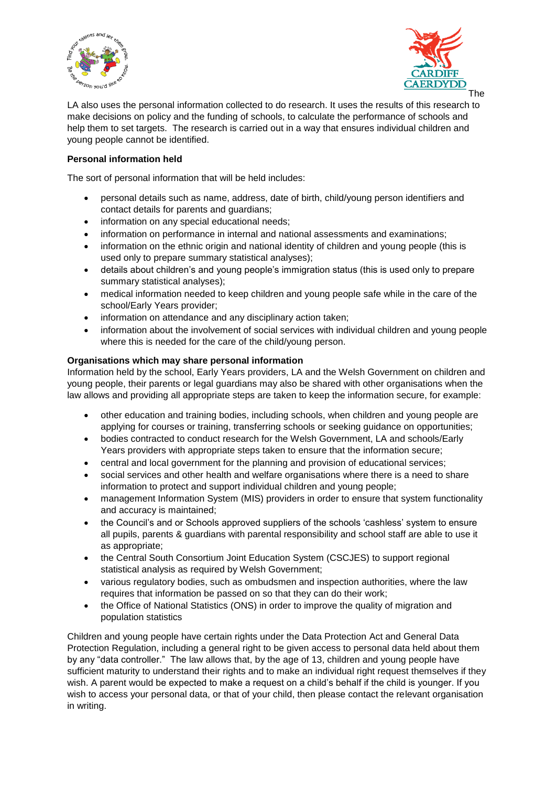



LA also uses the personal information collected to do research. It uses the results of this research to make decisions on policy and the funding of schools, to calculate the performance of schools and help them to set targets. The research is carried out in a way that ensures individual children and young people cannot be identified.

# **Personal information held**

The sort of personal information that will be held includes:

- personal details such as name, address, date of birth, child/young person identifiers and contact details for parents and guardians;
- information on any special educational needs;
- information on performance in internal and national assessments and examinations;
- information on the ethnic origin and national identity of children and young people (this is used only to prepare summary statistical analyses);
- details about children's and young people's immigration status (this is used only to prepare summary statistical analyses);
- medical information needed to keep children and young people safe while in the care of the school/Early Years provider;
- information on attendance and any disciplinary action taken;
- information about the involvement of social services with individual children and young people where this is needed for the care of the child/young person.

#### **Organisations which may share personal information**

Information held by the school, Early Years providers, LA and the Welsh Government on children and young people, their parents or legal guardians may also be shared with other organisations when the law allows and providing all appropriate steps are taken to keep the information secure, for example:

- other education and training bodies, including schools, when children and young people are applying for courses or training, transferring schools or seeking guidance on opportunities;
- bodies contracted to conduct research for the Welsh Government, LA and schools/Early Years providers with appropriate steps taken to ensure that the information secure;
- central and local government for the planning and provision of educational services;
- social services and other health and welfare organisations where there is a need to share information to protect and support individual children and young people;
- management Information System (MIS) providers in order to ensure that system functionality and accuracy is maintained;
- the Council's and or Schools approved suppliers of the schools 'cashless' system to ensure all pupils, parents & guardians with parental responsibility and school staff are able to use it as appropriate;
- the Central South Consortium Joint Education System (CSCJES) to support regional statistical analysis as required by Welsh Government;
- various regulatory bodies, such as ombudsmen and inspection authorities, where the law requires that information be passed on so that they can do their work;
- the Office of National Statistics (ONS) in order to improve the quality of migration and population statistics

Children and young people have certain rights under the Data Protection Act and General Data Protection Regulation, including a general right to be given access to personal data held about them by any "data controller." The law allows that, by the age of 13, children and young people have sufficient maturity to understand their rights and to make an individual right request themselves if they wish. A parent would be expected to make a request on a child's behalf if the child is younger. If you wish to access your personal data, or that of your child, then please contact the relevant organisation in writing.